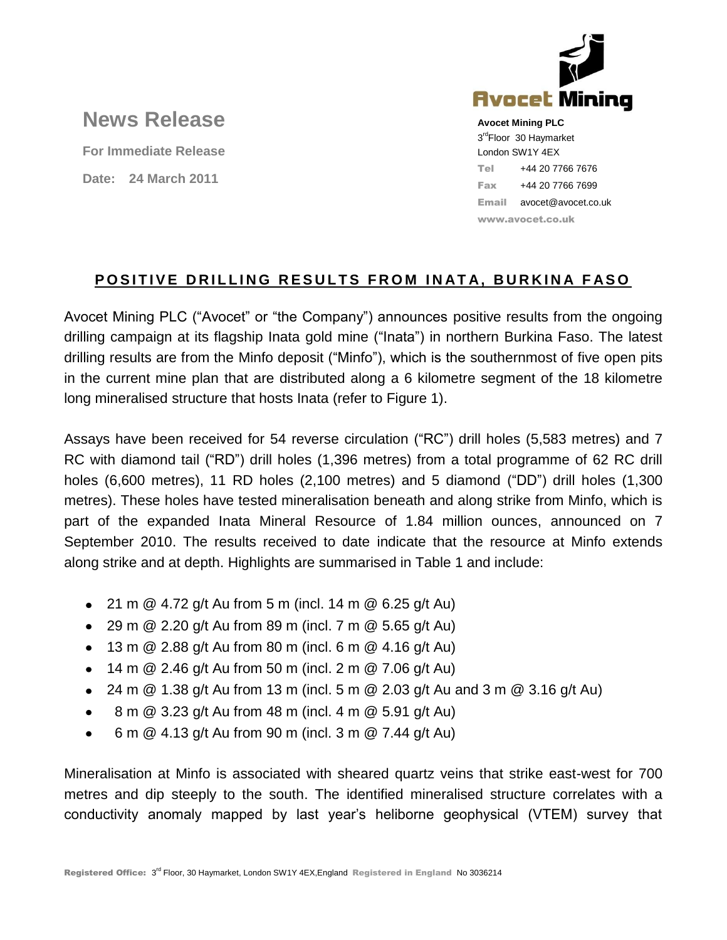

# **News Release**

**For Immediate Release Date: 24 March 2011**

**Avocet Mining PLC** 3<sup>rd</sup>Floor 30 Haymarket London SW1Y 4EX Tel +44 20 7766 7676 Fax +44 20 7766 7699 Email avocet@avocet.co.uk www.avocet.co.uk

## **POSITIVE DRILLING RESULTS FROM INATA, BURKINA FASO**

Avocet Mining PLC ("Avocet" or "the Company") announces positive results from the ongoing drilling campaign at its flagship Inata gold mine ("Inata") in northern Burkina Faso. The latest drilling results are from the Minfo deposit ("Minfo"), which is the southernmost of five open pits in the current mine plan that are distributed along a 6 kilometre segment of the 18 kilometre long mineralised structure that hosts Inata (refer to Figure 1).

Assays have been received for 54 reverse circulation ("RC") drill holes (5,583 metres) and 7 RC with diamond tail ("RD") drill holes (1,396 metres) from a total programme of 62 RC drill holes (6,600 metres), 11 RD holes (2,100 metres) and 5 diamond ("DD") drill holes (1,300 metres). These holes have tested mineralisation beneath and along strike from Minfo, which is part of the expanded Inata Mineral Resource of 1.84 million ounces, announced on 7 September 2010. The results received to date indicate that the resource at Minfo extends along strike and at depth. Highlights are summarised in Table 1 and include:

- 21 m  $@$  4.72 g/t Au from 5 m (incl. 14 m  $@$  6.25 g/t Au)
- 29 m  $@ 2.20$  g/t Au from 89 m (incl. 7 m  $@ 5.65$  g/t Au)
- $\bullet$  13 m @ 2.88 g/t Au from 80 m (incl. 6 m @ 4.16 g/t Au)
- 14 m  $@$  2.46 g/t Au from 50 m (incl. 2 m  $@$  7.06 g/t Au)
- 24 m  $\textcircled{a}$  1.38 g/t Au from 13 m (incl. 5 m  $\textcircled{a}$  2.03 g/t Au and 3 m  $\textcircled{a}$  3.16 g/t Au)
- 8 m @ 3.23 g/t Au from 48 m (incl. 4 m @ 5.91 g/t Au)  $\bullet$
- 6 m @ 4.13 g/t Au from 90 m (incl. 3 m @ 7.44 g/t Au)  $\bullet$

Mineralisation at Minfo is associated with sheared quartz veins that strike east-west for 700 metres and dip steeply to the south. The identified mineralised structure correlates with a conductivity anomaly mapped by last year's heliborne geophysical (VTEM) survey that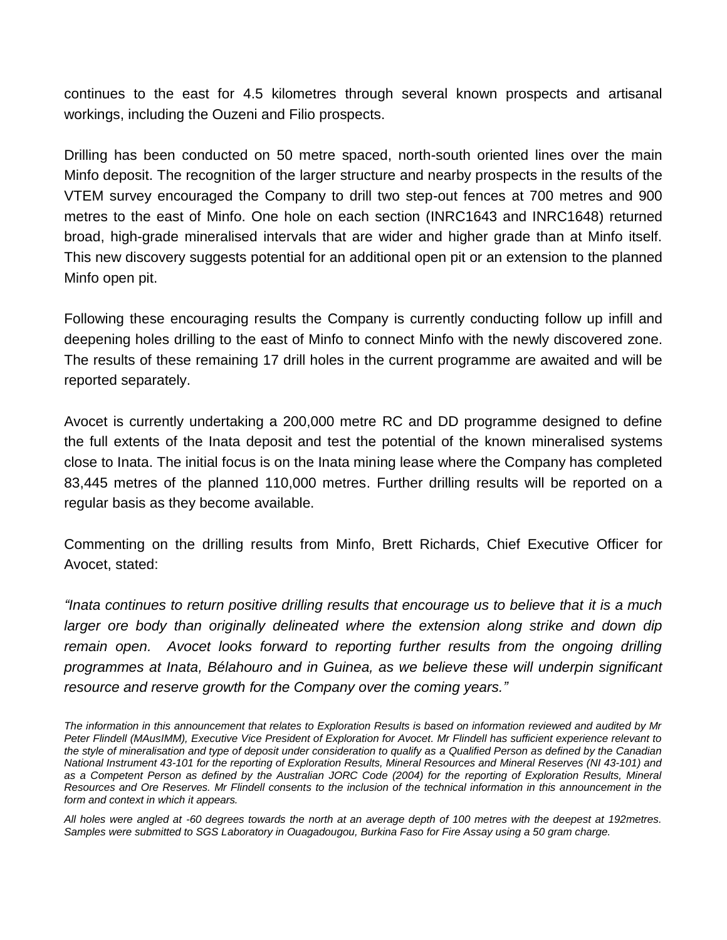continues to the east for 4.5 kilometres through several known prospects and artisanal workings, including the Ouzeni and Filio prospects.

Drilling has been conducted on 50 metre spaced, north-south oriented lines over the main Minfo deposit. The recognition of the larger structure and nearby prospects in the results of the VTEM survey encouraged the Company to drill two step-out fences at 700 metres and 900 metres to the east of Minfo. One hole on each section (INRC1643 and INRC1648) returned broad, high-grade mineralised intervals that are wider and higher grade than at Minfo itself. This new discovery suggests potential for an additional open pit or an extension to the planned Minfo open pit.

Following these encouraging results the Company is currently conducting follow up infill and deepening holes drilling to the east of Minfo to connect Minfo with the newly discovered zone. The results of these remaining 17 drill holes in the current programme are awaited and will be reported separately.

Avocet is currently undertaking a 200,000 metre RC and DD programme designed to define the full extents of the Inata deposit and test the potential of the known mineralised systems close to Inata. The initial focus is on the Inata mining lease where the Company has completed 83,445 metres of the planned 110,000 metres. Further drilling results will be reported on a regular basis as they become available.

Commenting on the drilling results from Minfo, Brett Richards, Chief Executive Officer for Avocet, stated:

*"Inata continues to return positive drilling results that encourage us to believe that it is a much larger ore body than originally delineated where the extension along strike and down dip remain open. Avocet looks forward to reporting further results from the ongoing drilling programmes at Inata, Bélahouro and in Guinea, as we believe these will underpin significant resource and reserve growth for the Company over the coming years."*

*The information in this announcement that relates to Exploration Results is based on information reviewed and audited by Mr Peter Flindell (MAusIMM), Executive Vice President of Exploration for Avocet. Mr Flindell has sufficient experience relevant to the style of mineralisation and type of deposit under consideration to qualify as a Qualified Person as defined by the Canadian National Instrument 43-101 for the reporting of Exploration Results, Mineral Resources and Mineral Reserves (NI 43-101) and as a Competent Person as defined by the Australian JORC Code (2004) for the reporting of Exploration Results, Mineral Resources and Ore Reserves. Mr Flindell consents to the inclusion of the technical information in this announcement in the form and context in which it appears.* 

*All holes were angled at -60 degrees towards the north at an average depth of 100 metres with the deepest at 192metres. Samples were submitted to SGS Laboratory in Ouagadougou, Burkina Faso for Fire Assay using a 50 gram charge.*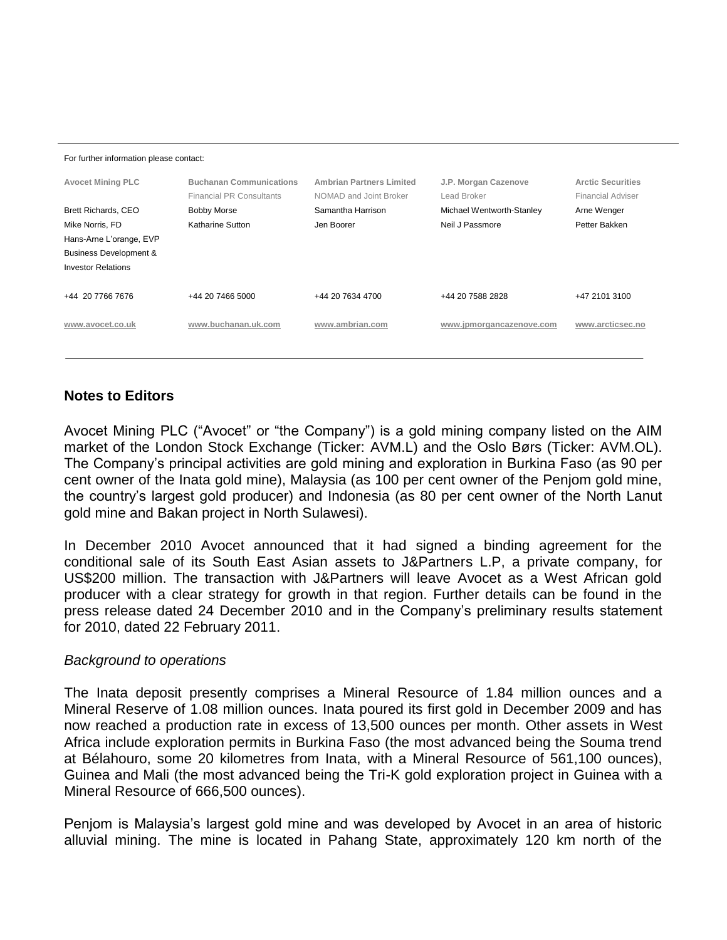For further information please contact:

| <b>Avocet Mining PLC</b><br>Brett Richards, CEO<br>Mike Norris, FD<br>Hans-Arne L'orange, EVP<br><b>Business Development &amp;</b><br><b>Investor Relations</b> | <b>Buchanan Communications</b><br><b>Financial PR Consultants</b><br><b>Bobby Morse</b><br>Katharine Sutton | <b>Ambrian Partners Limited</b><br>NOMAD and Joint Broker<br>Samantha Harrison<br>Jen Boorer | J.P. Morgan Cazenove<br>Lead Broker<br>Michael Wentworth-Stanley<br>Neil J Passmore | <b>Arctic Securities</b><br>Financial Adviser<br>Arne Wenger<br>Petter Bakken |
|-----------------------------------------------------------------------------------------------------------------------------------------------------------------|-------------------------------------------------------------------------------------------------------------|----------------------------------------------------------------------------------------------|-------------------------------------------------------------------------------------|-------------------------------------------------------------------------------|
| +44 20 7766 7676                                                                                                                                                | +44 20 7466 5000                                                                                            | +44 20 7634 4700                                                                             | +44 20 7588 2828                                                                    | +47 2101 3100                                                                 |
| www.avocet.co.uk                                                                                                                                                | www.buchanan.uk.com                                                                                         | www.ambrian.com                                                                              | www.jpmorgancazenove.com                                                            | www.arcticsec.no                                                              |

### **Notes to Editors**

Avocet Mining PLC ("Avocet" or "the Company") is a gold mining company listed on the AIM market of the London Stock Exchange (Ticker: AVM.L) and the Oslo Børs (Ticker: AVM.OL). The Company's principal activities are gold mining and exploration in Burkina Faso (as 90 per cent owner of the Inata gold mine), Malaysia (as 100 per cent owner of the Penjom gold mine, the country's largest gold producer) and Indonesia (as 80 per cent owner of the North Lanut gold mine and Bakan project in North Sulawesi).

In December 2010 Avocet announced that it had signed a binding agreement for the conditional sale of its South East Asian assets to J&Partners L.P, a private company, for US\$200 million. The transaction with J&Partners will leave Avocet as a West African gold producer with a clear strategy for growth in that region. Further details can be found in the press release dated 24 December 2010 and in the Company's preliminary results statement for 2010, dated 22 February 2011.

#### *Background to operations*

The Inata deposit presently comprises a Mineral Resource of 1.84 million ounces and a Mineral Reserve of 1.08 million ounces. Inata poured its first gold in December 2009 and has now reached a production rate in excess of 13,500 ounces per month. Other assets in West Africa include exploration permits in Burkina Faso (the most advanced being the Souma trend at Bélahouro, some 20 kilometres from Inata, with a Mineral Resource of 561,100 ounces), Guinea and Mali (the most advanced being the Tri-K gold exploration project in Guinea with a Mineral Resource of 666,500 ounces).

Penjom is Malaysia's largest gold mine and was developed by Avocet in an area of historic alluvial mining. The mine is located in Pahang State, approximately 120 km north of the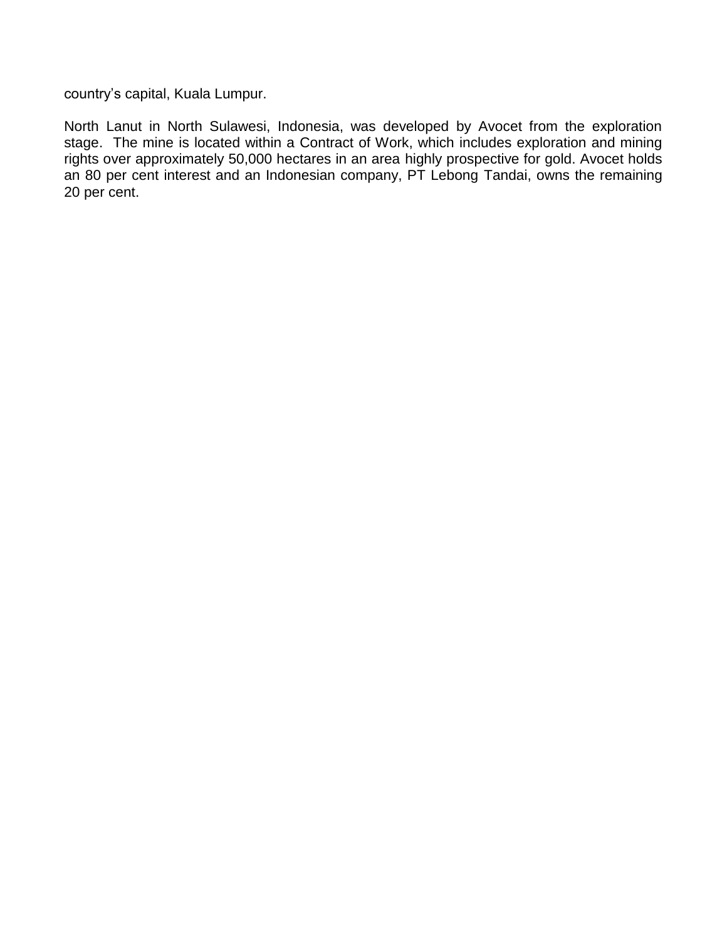country's capital, Kuala Lumpur.

North Lanut in North Sulawesi, Indonesia, was developed by Avocet from the exploration stage. The mine is located within a Contract of Work, which includes exploration and mining rights over approximately 50,000 hectares in an area highly prospective for gold. Avocet holds an 80 per cent interest and an Indonesian company, PT Lebong Tandai, owns the remaining 20 per cent.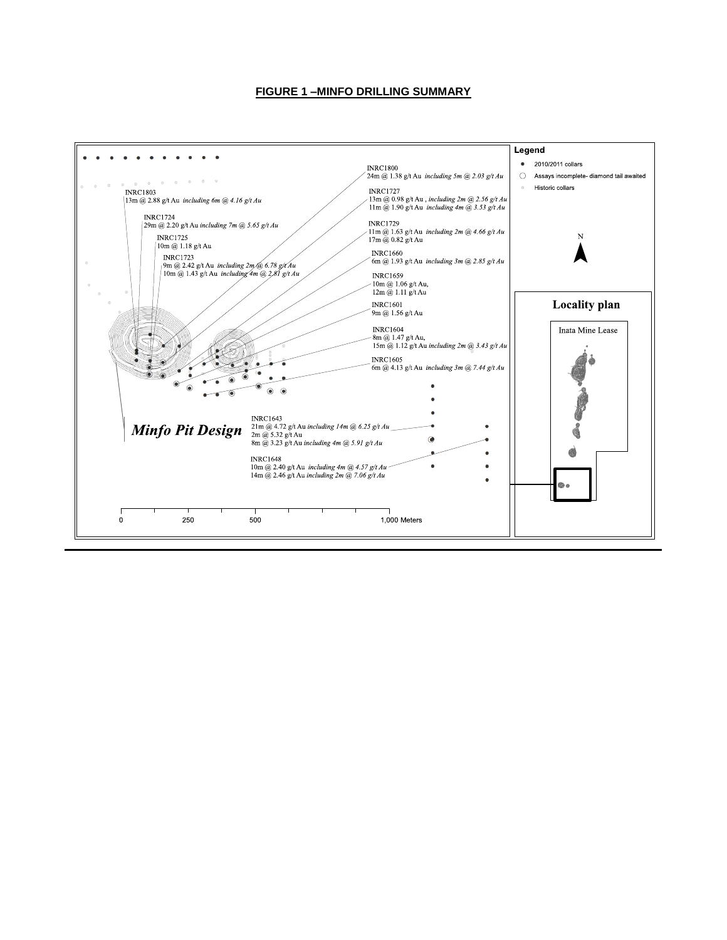#### **FIGURE 1 –MINFO DRILLING SUMMARY**

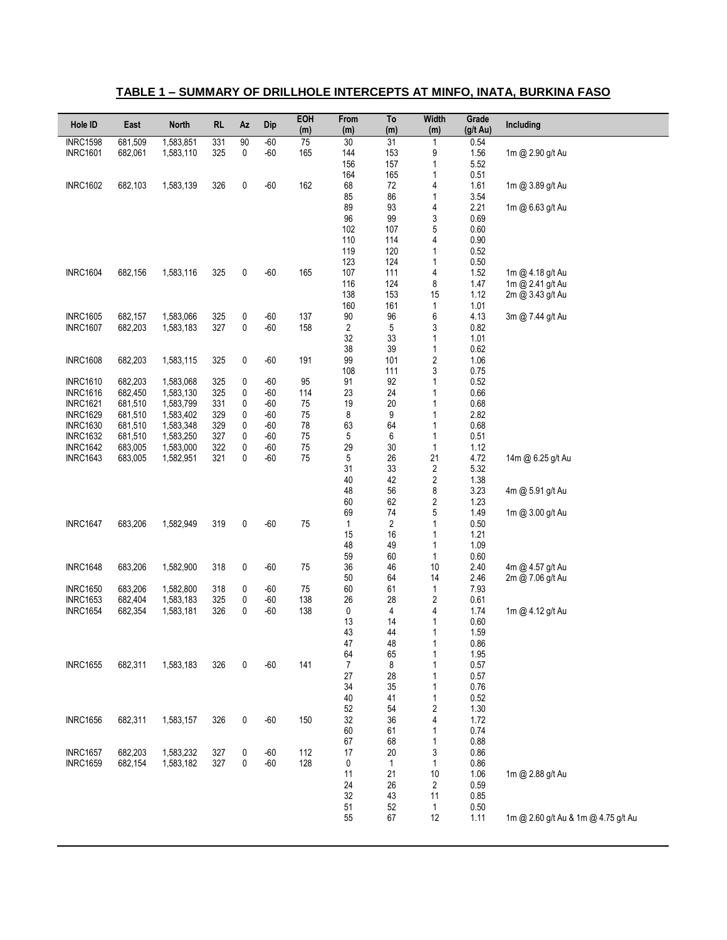### **TABLE 1 – SUMMARY OF DRILLHOLE INTERCEPTS AT MINFO, INATA, BURKINA FASO**

| Hole ID         | East    | <b>North</b> | <b>RL</b> | Az     | Dip   | EOH<br>(m) | From<br>(m)    | To<br>(m)      | <b>Width</b><br>(m) | Grade<br>(g/t Au) | Including                           |
|-----------------|---------|--------------|-----------|--------|-------|------------|----------------|----------------|---------------------|-------------------|-------------------------------------|
| <b>INRC1598</b> | 681,509 | 1,583,851    | 331       | 90     | $-60$ | 75         | 30             | 31             | $\mathbf{1}$        | 0.54              |                                     |
| <b>INRC1601</b> | 682,061 | 1,583,110    | 325       | 0      | $-60$ | 165        | 144            | 153            | 9                   | 1.56              | 1m @ 2.90 g/t Au                    |
|                 |         |              |           |        |       |            | 156            | 157            | 1                   | 5.52              |                                     |
|                 |         |              |           |        |       |            | 164            | 165            | 1                   | 0.51              |                                     |
| <b>INRC1602</b> | 682,103 | 1,583,139    | 326       | 0      | $-60$ | 162        | 68             | 72             | 4                   | 1.61              | 1m @ 3.89 g/t Au                    |
|                 |         |              |           |        |       |            | 85             | 86             | 1                   | 3.54              |                                     |
|                 |         |              |           |        |       |            | 89             | 93             | 4                   | 2.21              | 1m @ 6.63 g/t Au                    |
|                 |         |              |           |        |       |            | 96             | 99             | 3                   | 0.69              |                                     |
|                 |         |              |           |        |       |            | 102            | 107            | 5                   | 0.60              |                                     |
|                 |         |              |           |        |       |            | 110            | 114            | 4                   | 0.90              |                                     |
|                 |         |              |           |        |       |            | 119            | 120            | 1                   | 0.52              |                                     |
|                 |         |              |           |        |       |            | 123            | 124            | 1                   | 0.50              |                                     |
| <b>INRC1604</b> | 682,156 | 1,583,116    | 325       | 0      | $-60$ | 165        | 107            | 111            | 4                   | 1.52              | 1m @ 4.18 g/t Au                    |
|                 |         |              |           |        |       |            | 116            | 124            | 8                   | 1.47              | 1m @ 2.41 g/t Au                    |
|                 |         |              |           |        |       |            | 138            | 153            | 15                  | 1.12              | 2m @ 3.43 g/t Au                    |
|                 |         |              |           |        |       |            | 160            | 161            | 1                   | 1.01              |                                     |
| <b>INRC1605</b> | 682,157 | 1,583,066    | 325       | 0      | $-60$ | 137        | 90             | 96             | 6                   | 4.13              | 3m @ 7.44 g/t Au                    |
| <b>INRC1607</b> | 682,203 | 1,583,183    | 327       | 0      | $-60$ | 158        | $\overline{c}$ | $\mathbf 5$    | 3                   | 0.82              |                                     |
|                 |         |              |           |        |       |            | 32<br>38       | 33<br>39       | 1                   | 1.01              |                                     |
|                 |         |              |           |        |       |            |                |                | 1                   | 0.62<br>1.06      |                                     |
| <b>INRC1608</b> | 682,203 | 1,583,115    | 325       | 0      | $-60$ | 191        | 99<br>108      | 101<br>111     | $\sqrt{2}$          | 0.75              |                                     |
| <b>INRC1610</b> | 682,203 | 1,583,068    | 325       |        | $-60$ | 95         | 91             | 92             | 3<br>1              | 0.52              |                                     |
| <b>INRC1616</b> | 682,450 | 1,583,130    | 325       | 0<br>0 | $-60$ | 114        | 23             | 24             | 1                   | 0.66              |                                     |
| <b>INRC1621</b> | 681,510 | 1,583,799    | 331       | 0      | $-60$ | 75         | 19             | $20\,$         | 1                   | 0.68              |                                     |
| <b>INRC1629</b> | 681,510 | 1,583,402    | 329       | 0      | $-60$ | 75         | 8              | 9              | 1                   | 2.82              |                                     |
| <b>INRC1630</b> | 681,510 | 1,583,348    | 329       | 0      | $-60$ | 78         | 63             | 64             | 1                   | 0.68              |                                     |
| <b>INRC1632</b> | 681,510 | 1,583,250    | 327       | 0      | $-60$ | 75         | 5              | 6              | 1                   | 0.51              |                                     |
| <b>INRC1642</b> | 683,005 | 1,583,000    | 322       | 0      | -60   | 75         | 29             | 30             | 1                   | 1.12              |                                     |
| <b>INRC1643</b> | 683,005 | 1,582,951    | 321       | 0      | -60   | 75         | 5              | 26             | 21                  | 4.72              | 14m @ 6.25 g/t Au                   |
|                 |         |              |           |        |       |            | 31             | 33             | $\overline{2}$      | 5.32              |                                     |
|                 |         |              |           |        |       |            | 40             | 42             | 2                   | 1.38              |                                     |
|                 |         |              |           |        |       |            | 48             | 56             | 8                   | 3.23              | 4m @ 5.91 g/t Au                    |
|                 |         |              |           |        |       |            | 60             | 62             | 2                   | 1.23              |                                     |
|                 |         |              |           |        |       |            | 69             | 74             | 5                   | 1.49              | 1m @ 3.00 g/t Au                    |
| <b>INRC1647</b> | 683,206 | 1,582,949    | 319       | 0      | $-60$ | 75         | 1              | $\overline{2}$ | 1                   | 0.50              |                                     |
|                 |         |              |           |        |       |            | 15             | 16             | 1                   | 1.21              |                                     |
|                 |         |              |           |        |       |            | 48             | 49             | 1                   | 1.09              |                                     |
|                 |         |              |           |        |       |            | 59             | 60             | 1                   | 0.60              |                                     |
| <b>INRC1648</b> | 683,206 | 1,582,900    | 318       | 0      | $-60$ | 75         | 36             | 46             | 10                  | 2.40              | 4m @ 4.57 g/t Au                    |
|                 |         |              |           |        |       |            | 50             | 64             | 14                  | 2.46              | 2m @ 7.06 g/t Au                    |
| <b>INRC1650</b> | 683,206 | 1,582,800    | 318       | 0      | $-60$ | 75         | 60             | 61             | $\mathbf{1}$        | 7.93              |                                     |
| <b>INRC1653</b> | 682,404 | 1,583,183    | 325       | 0      | $-60$ | 138        | 26             | 28             | 2                   | 0.61              |                                     |
| <b>INRC1654</b> | 682,354 | 1,583,181    | 326       | 0      | $-60$ | 138        | 0              | 4              | 4                   | 1.74              | 1m @ 4.12 g/t Au                    |
|                 |         |              |           |        |       |            | 13<br>43       | 14<br>44       | 1<br>1              | 0.60<br>1.59      |                                     |
|                 |         |              |           |        |       |            | 47             | 48             | 1                   | 0.86              |                                     |
|                 |         |              |           |        |       |            | 64             | 65             | 1                   | 1.95              |                                     |
| <b>INRC1655</b> | 682,311 | 1,583,183    | 326       | 0      | $-60$ | 141        | 7              | 8              | 1                   | 0.57              |                                     |
|                 |         |              |           |        |       |            | 27             | 28             | 1                   | 0.57              |                                     |
|                 |         |              |           |        |       |            | 34             | 35             | 1                   | 0.76              |                                     |
|                 |         |              |           |        |       |            | 40             | 41             | 1                   | 0.52              |                                     |
|                 |         |              |           |        |       |            | 52             | 54             | 2                   | 1.30              |                                     |
| <b>INRC1656</b> | 682,311 | 1,583,157    | 326       | 0      | $-60$ | 150        | 32             | 36             | 4                   | 1.72              |                                     |
|                 |         |              |           |        |       |            | 60             | 61             | 1                   | 0.74              |                                     |
|                 |         |              |           |        |       |            | 67             | 68             | 1                   | 0.88              |                                     |
| <b>INRC1657</b> | 682,203 | 1,583,232    | 327       | 0      | $-60$ | 112        | 17             | 20             | 3                   | 0.86              |                                     |
| <b>INRC1659</b> | 682,154 | 1,583,182    | 327       | 0      | $-60$ | 128        | 0              | 1              | 1                   | 0.86              |                                     |
|                 |         |              |           |        |       |            | 11             | 21             | 10                  | 1.06              | 1m @ 2.88 g/t Au                    |
|                 |         |              |           |        |       |            | 24             | 26             | 2                   | 0.59              |                                     |
|                 |         |              |           |        |       |            | 32             | 43             | 11                  | 0.85              |                                     |
|                 |         |              |           |        |       |            | 51             | 52             | $\mathbf{1}$        | $0.50\,$          |                                     |
|                 |         |              |           |        |       |            | 55             | 67             | 12                  | 1.11              | 1m @ 2.60 g/t Au & 1m @ 4.75 g/t Au |
|                 |         |              |           |        |       |            |                |                |                     |                   |                                     |